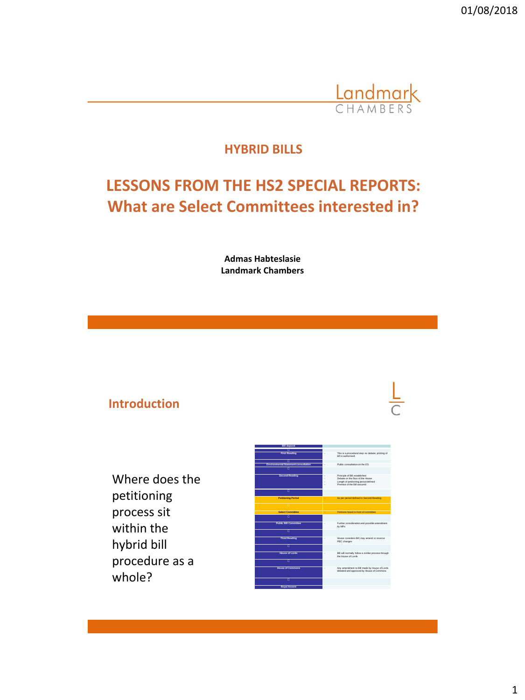

## **HYBRID BILLS**

# **LESSONS FROM THE HS2 SPECIAL REPORTS: What are Select Committees interested in?**

**Admas Habteslasie Landmark Chambers**

### **Introduction**

Where does the petitioning process sit within the hybrid bill procedure as a whole?

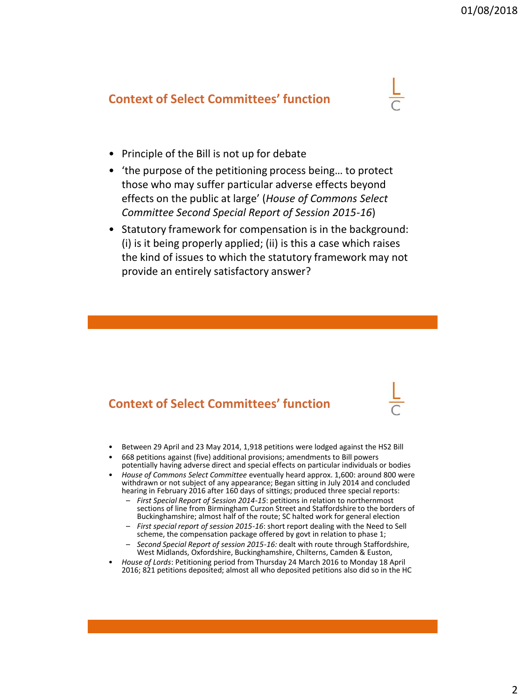#### **Context of Select Committees' function**

- Principle of the Bill is not up for debate
- 'the purpose of the petitioning process being… to protect those who may suffer particular adverse effects beyond effects on the public at large' (*House of Commons Select Committee Second Special Report of Session 2015-16*)
- Statutory framework for compensation is in the background: (i) is it being properly applied; (ii) is this a case which raises the kind of issues to which the statutory framework may not provide an entirely satisfactory answer?

#### **Context of Select Committees' function**

- Between 29 April and 23 May 2014, 1,918 petitions were lodged against the HS2 Bill
- 668 petitions against (five) additional provisions; amendments to Bill powers potentially having adverse direct and special effects on particular individuals or bodies
- *House of Commons Select Committee* eventually heard approx. 1,600: around 800 were withdrawn or not subject of any appearance; Began sitting in July 2014 and concluded hearing in February 2016 after 160 days of sittings; produced three special reports:
	- *First Special Report of Session 2014-15*: petitions in relation to northernmost sections of line from Birmingham Curzon Street and Staffordshire to the borders of Buckinghamshire; almost half of the route; SC halted work for general election
	- *First special report of session 2015-16*: short report dealing with the Need to Sell scheme, the compensation package offered by govt in relation to phase 1;
	- *Second Special Report of session 2015-16:* dealt with route through Staffordshire, West Midlands, Oxfordshire, Buckinghamshire, Chilterns, Camden & Euston,
- *House of Lords*: Petitioning period from Thursday 24 March 2016 to Monday 18 April 2016; 821 petitions deposited; almost all who deposited petitions also did so in the HC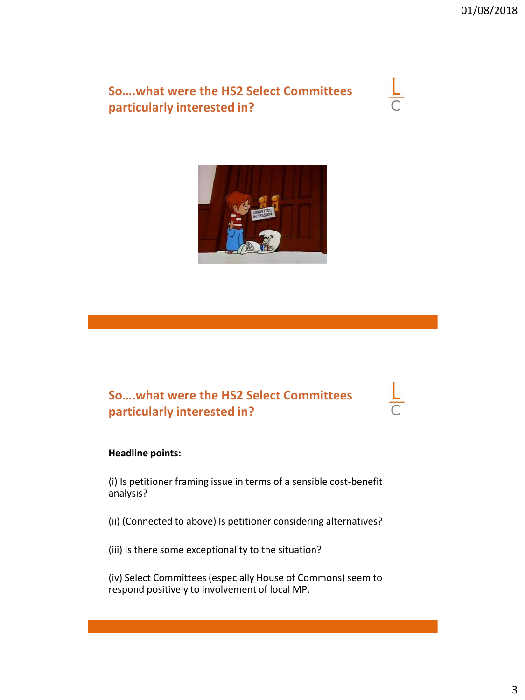**So….what were the HS2 Select Committees particularly interested in?**





### **So….what were the HS2 Select Committees particularly interested in?**

#### **Headline points:**

(i) Is petitioner framing issue in terms of a sensible cost-benefit analysis?

(ii) (Connected to above) Is petitioner considering alternatives?

(iii) Is there some exceptionality to the situation?

(iv) Select Committees (especially House of Commons) seem to respond positively to involvement of local MP.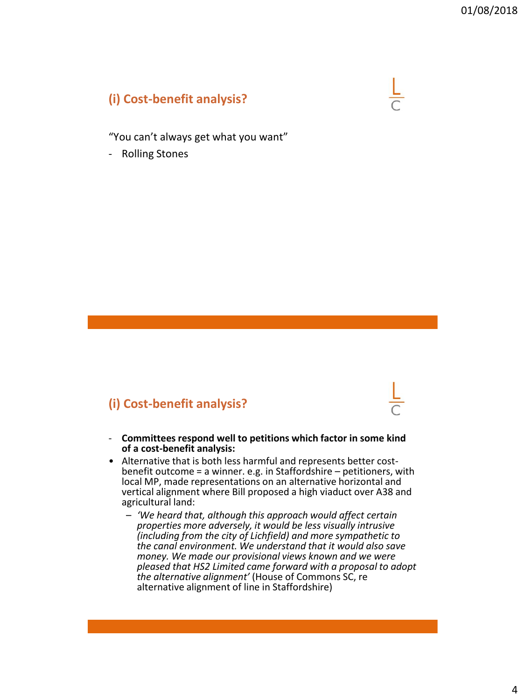## **(i) Cost-benefit analysis?**

"You can't always get what you want"

- Rolling Stones

## **(i) Cost-benefit analysis?**

- **Committees respond well to petitions which factor in some kind of a cost-benefit analysis:**
- Alternative that is both less harmful and represents better costbenefit outcome = a winner. e.g. in Staffordshire – petitioners, with local MP, made representations on an alternative horizontal and vertical alignment where Bill proposed a high viaduct over A38 and agricultural land:
	- *'We heard that, although this approach would affect certain properties more adversely, it would be less visually intrusive (including from the city of Lichfield) and more sympathetic to the canal environment. We understand that it would also save money. We made our provisional views known and we were pleased that HS2 Limited came forward with a proposal to adopt the alternative alignment'* (House of Commons SC, re alternative alignment of line in Staffordshire)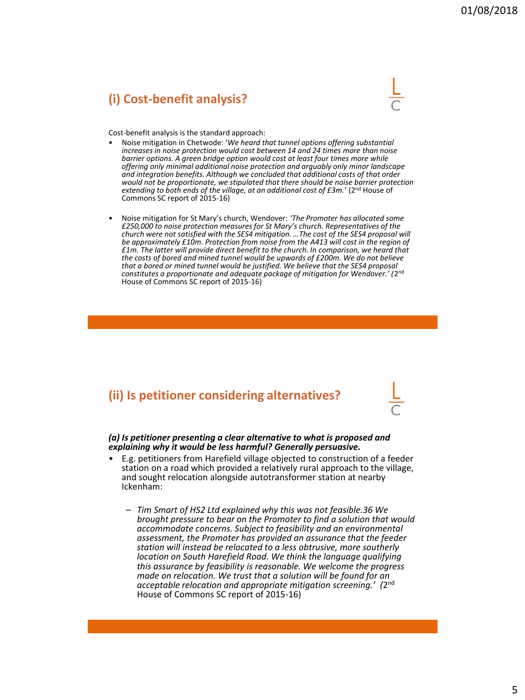#### **(i) Cost-benefit analysis?**



Cost-benefit analysis is the standard approach:

- Noise mitigation in Chetwode: '*We heard that tunnel options offering substantial increases in noise protection would cost between 14 and 24 times more than noise barrier options. A green bridge option would cost at least four times more while offering only minimal additional noise protection and arguably only minor landscape and integration benefits. Although we concluded that additional costs of that order would not be proportionate, we stipulated that there should be noise barrier protection extending to both ends of the village, at an additional cost of £3m.'* (2nd House of Commons SC report of 2015-16)
- Noise mitigation for St Mary's church, Wendover: *'The Promoter has allocated some £250,000 to noise protection measures for St Mary's church. Representatives of the church were not satisfied with the SES4 mitigation. …The cost of the SES4 proposal will be approximately £10m. Protection from noise from the A413 will cost in the region of £1m. The latter will provide direct benefit to the church. In comparison, we heard that the costs of bored and mined tunnel would be upwards of £200m. We do not believe that a bored or mined tunnel would be justified. We believe that the SES4 proposal constitutes a proportionate and adequate package of mitigation for Wendover.' (*2 nd House of Commons SC report of 2015-16)

#### **(ii) Is petitioner considering alternatives?**

*(a) Is petitioner presenting a clear alternative to what is proposed and explaining why it would be less harmful? Generally persuasive.*

- E.g. petitioners from Harefield village objected to construction of a feeder station on a road which provided a relatively rural approach to the village, and sought relocation alongside autotransformer station at nearby Ickenham:
	- *Tim Smart of HS2 Ltd explained why this was not feasible.36 We brought pressure to bear on the Promoter to find a solution that would accommodate concerns. Subject to feasibility and an environmental assessment, the Promoter has provided an assurance that the feeder station will instead be relocated to a less obtrusive, more southerly location on South Harefield Road. We think the language qualifying this assurance by feasibility is reasonable. We welcome the progress made on relocation. We trust that a solution will be found for an acceptable relocation and appropriate mitigation screening.' (*2 nd House of Commons SC report of 2015-16)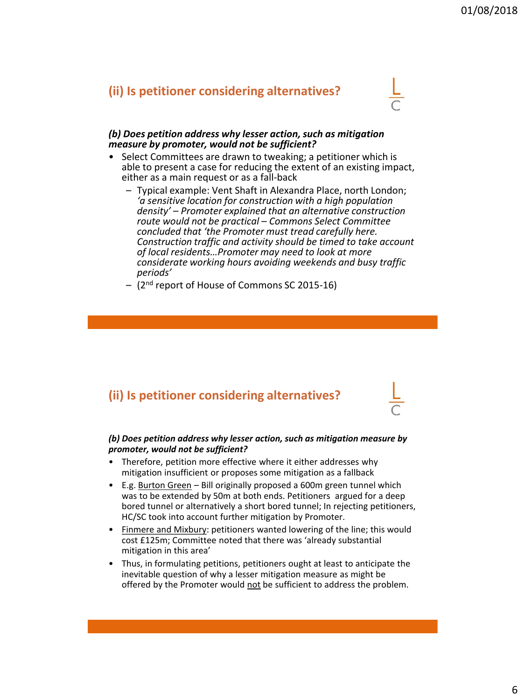#### **(ii) Is petitioner considering alternatives?**



#### *(b) Does petition address why lesser action, such as mitigation measure by promoter, would not be sufficient?*

- Select Committees are drawn to tweaking; a petitioner which is able to present a case for reducing the extent of an existing impact, either as a main request or as a fall-back
	- Typical example: Vent Shaft in Alexandra Place, north London; *'a sensitive location for construction with a high population density' – Promoter explained that an alternative construction route would not be practical – Commons Select Committee concluded that 'the Promoter must tread carefully here. Construction traffic and activity should be timed to take account of local residents…Promoter may need to look at more considerate working hours avoiding weekends and busy traffic periods'*
	- (2nd report of House of Commons SC 2015-16)

### **(ii) Is petitioner considering alternatives?**

#### *(b) Does petition address why lesser action, such as mitigation measure by promoter, would not be sufficient?*

- Therefore, petition more effective where it either addresses why mitigation insufficient or proposes some mitigation as a fallback
- E.g. Burton Green Bill originally proposed a 600m green tunnel which was to be extended by 50m at both ends. Petitioners argued for a deep bored tunnel or alternatively a short bored tunnel; In rejecting petitioners, HC/SC took into account further mitigation by Promoter.
- Finmere and Mixbury: petitioners wanted lowering of the line; this would cost £125m; Committee noted that there was 'already substantial mitigation in this area'
- Thus, in formulating petitions, petitioners ought at least to anticipate the inevitable question of why a lesser mitigation measure as might be offered by the Promoter would not be sufficient to address the problem.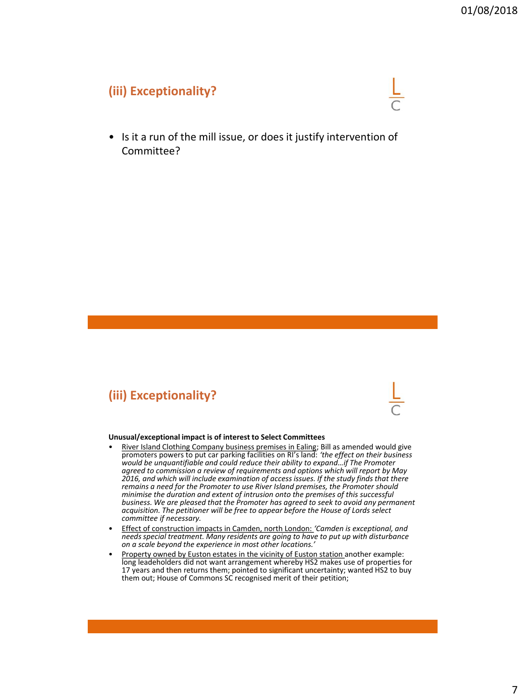#### **(iii) Exceptionality?**



• Is it a run of the mill issue, or does it justify intervention of Committee?

## **(iii) Exceptionality?**

#### **Unusual/exceptional impact is of interest to Select Committees**

- River Island Clothing Company business premises in Ealing; Bill as amended would give promoters powers to put car parking facilities on RI's land: *'the effect on their business would be unquantifiable and could reduce their ability to expand…if The Promoter agreed to commission a review of requirements and options which will report by May 2016, and which will include examination of access issues. If the study finds that there remains a need for the Promoter to use River Island premises, the Promoter should minimise the duration and extent of intrusion onto the premises of this successful business. We are pleased that the Promoter has agreed to seek to avoid any permanent acquisition. The petitioner will be free to appear before the House of Lords select committee if necessary.*
- Effect of construction impacts in Camden, north London: *'Camden is exceptional, and needs special treatment. Many residents are going to have to put up with disturbance on a scale beyond the experience in most other locations.'*
- Property owned by Euston estates in the vicinity of Euston station another example: long leadeholders did not want arrangement whereby HS2 makes use of properties for 17 years and then returns them; pointed to significant uncertainty; wanted HS2 to buy them out; House of Commons SC recognised merit of their petition;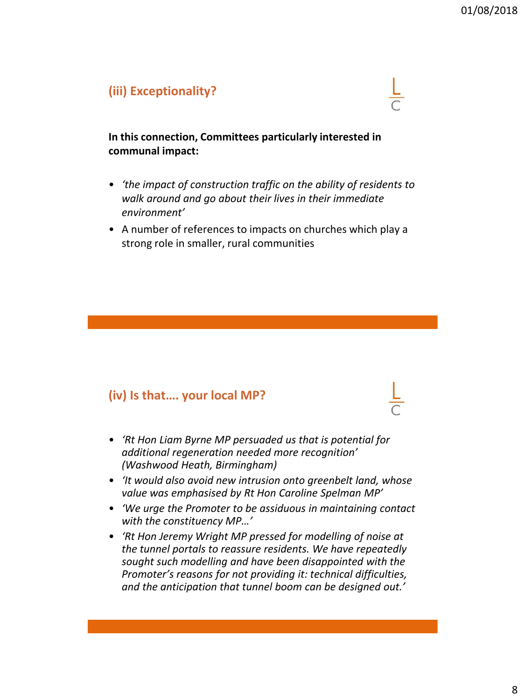#### **(iii) Exceptionality?**



**In this connection, Committees particularly interested in communal impact:**

- *'the impact of construction traffic on the ability of residents to walk around and go about their lives in their immediate environment'*
- A number of references to impacts on churches which play a strong role in smaller, rural communities

### **(iv) Is that…. your local MP?**

- *'Rt Hon Liam Byrne MP persuaded us that is potential for additional regeneration needed more recognition' (Washwood Heath, Birmingham)*
- *'It would also avoid new intrusion onto greenbelt land, whose value was emphasised by Rt Hon Caroline Spelman MP'*
- *'We urge the Promoter to be assiduous in maintaining contact with the constituency MP…'*
- *'Rt Hon Jeremy Wright MP pressed for modelling of noise at the tunnel portals to reassure residents. We have repeatedly sought such modelling and have been disappointed with the Promoter's reasons for not providing it: technical difficulties, and the anticipation that tunnel boom can be designed out.'*